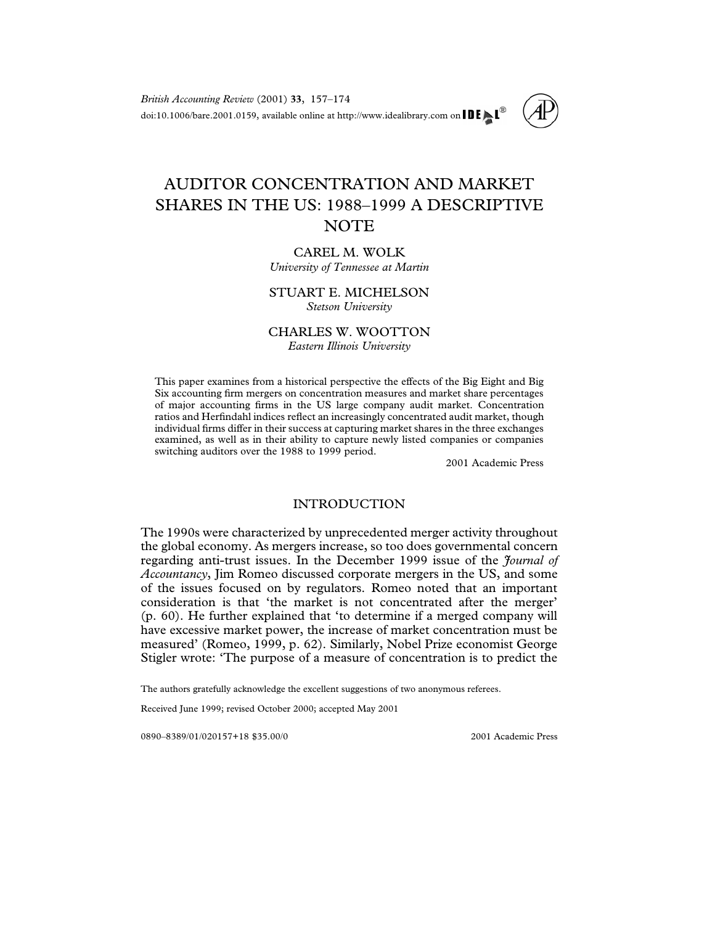*British Accounting Review* (2001) **33**, 157–174 doi:10.1006/bare.2001.0159, available online at http://www.idealibrary.com on  $\text{IDE} \blacktriangleright \text{LP}^{\textcircled{\tiny{\textcirc}}}$ 

# AUDITOR CONCENTRATION AND MARKET SHARES IN THE US: 1988–1999 A DESCRIPTIVE **NOTE**

# CAREL M. WOLK *University of Tennessee at Martin*

### STUART E. MICHELSON *Stetson University*

# CHARLES W. WOOTTON *Eastern Illinois University*

This paper examines from a historical perspective the effects of the Big Eight and Big Six accounting firm mergers on concentration measures and market share percentages of major accounting firms in the US large company audit market. Concentration ratios and Herfindahl indices reflect an increasingly concentrated audit market, though individual firms differ in their success at capturing market shares in the three exchanges examined, as well as in their ability to capture newly listed companies or companies switching auditors over the 1988 to 1999 period.

2001 Academic Press

# INTRODUCTION

The 1990s were characterized by unprecedented merger activity throughout the global economy. As mergers increase, so too does governmental concern regarding anti-trust issues. In the December 1999 issue of the *Journal of Accountancy*, Jim Romeo discussed corporate mergers in the US, and some of the issues focused on by regulators. Romeo noted that an important consideration is that 'the market is not concentrated after the merger' (p. 60). He further explained that 'to determine if a merged company will have excessive market power, the increase of market concentration must be measured' [\(Romeo, 1999,](#page--1-0) p. 62). Similarly, Nobel Prize economist George Stigler wrote: 'The purpose of a measure of concentration is to predict the

The authors gratefully acknowledge the excellent suggestions of two anonymous referees.

Received June 1999; revised October 2000; accepted May 2001

0890–8389/01/020157+18 \$35.00/0  $\textcircled{2001}$  Academic Press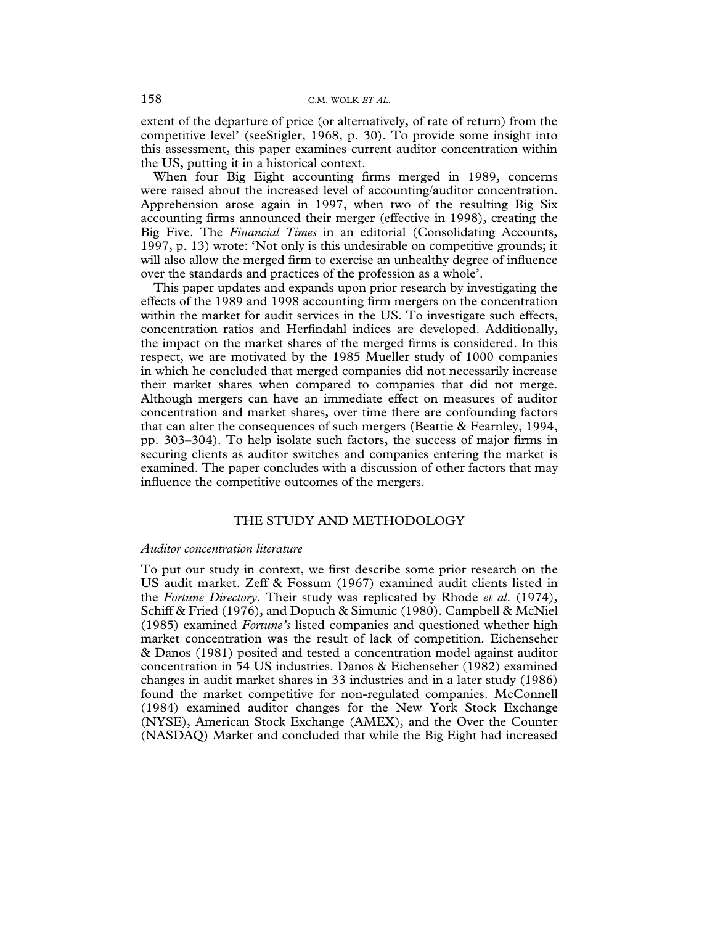extent of the departure of price (or alternatively, of rate of return) from the competitive level' (see[Stigler, 1968,](#page--1-0) p. 30). To provide some insight into this assessment, this paper examines current auditor concentration within the US, putting it in a historical context.

When four Big Eight accounting firms merged in 1989, concerns were raised about the increased level of accounting/auditor concentration. Apprehension arose again in 1997, when two of the resulting Big Six accounting firms announced their merger (effective in 1998), creating the Big Five. The *Financial Times* in an editorial [\(Consolidating Accounts,](#page--1-0) [1997,](#page--1-0) p. 13) wrote: 'Not only is this undesirable on competitive grounds; it will also allow the merged firm to exercise an unhealthy degree of influence over the standards and practices of the profession as a whole'.

This paper updates and expands upon prior research by investigating the effects of the 1989 and 1998 accounting firm mergers on the concentration within the market for audit services in the US. To investigate such effects, concentration ratios and Herfindahl indices are developed. Additionally, the impact on the market shares of the merged firms is considered. In this respect, we are motivated by the 1985 Mueller study of 1000 companies in which he concluded that merged companies did not necessarily increase their market shares when compared to companies that did not merge. Although mergers can have an immediate effect on measures of auditor concentration and market shares, over time there are confounding factors that can alter the consequences of such mergers [\(Beattie & Fearnley, 1994,](#page--1-0) pp. 303–304). To help isolate such factors, the success of major firms in securing clients as auditor switches and companies entering the market is examined. The paper concludes with a discussion of other factors that may influence the competitive outcomes of the mergers.

# THE STUDY AND METHODOLOGY

#### *Auditor concentration literature*

To put our study in context, we first describe some prior research on the US audit market. [Zeff & Fossum \(1967\)](#page--1-0) examined audit clients listed in the *Fortune Directory*. Their study was replicated by Rhode *et al*[. \(1974\),](#page--1-0) [Schiff & Fried \(1976\),](#page--1-0) and [Dopuch & Simunic \(1980\). Campbell & McNiel](#page--1-0) [\(1985\)](#page--1-0) examined *Fortune's* listed companies and questioned whether high market concentration was the result of lack of competition. [Eichenseher](#page--1-0) [& Danos \(1981\)](#page--1-0) posited and tested a concentration model against auditor concentration in 54 US industries. [Danos & Eichenseher \(1982\)](#page--1-0) examined changes in audit market shares in 33 industries and in a later study (1986) found the market competitive for non-regulated companies. [McConnell](#page--1-0) [\(1984\)](#page--1-0) examined auditor changes for the New York Stock Exchange (NYSE), American Stock Exchange (AMEX), and the Over the Counter (NASDAQ) Market and concluded that while the Big Eight had increased